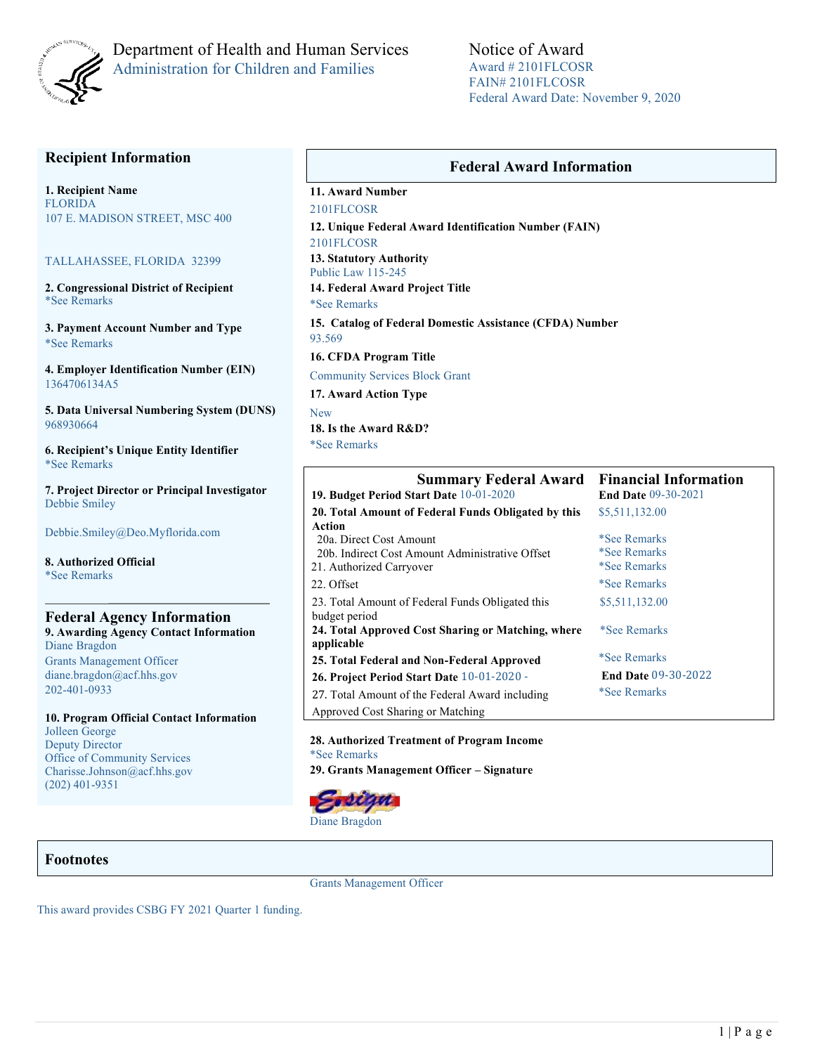

# Department of Health and Human Services Administration for Children and Families

Notice of Award Award # 2101FLCOSR FAIN# 2101FLCOSR Federal Award Date: November 9, 2020

## **Recipient Information**

**1. Recipient Name** FLORIDA 107 E. MADISON STREET, MSC 400

#### TALLAHASSEE, FLORIDA 32399

**2. Congressional District of Recipient**  \*See Remarks

**3. Payment Account Number and Type** \*See Remarks

**4. Employer Identification Number (EIN)** 1364706134A5

**5. Data Universal Numbering System (DUNS)**  968930664

**6. Recipient's Unique Entity Identifier** \*See Remarks

**7. Project Director or Principal Investigator**  Debbie Smiley

Debbie.Smiley@Deo.Myflorida.com

**8. Authorized Official**  \*See Remarks

**Federal Agency Information 9. Awarding Agency Contact Information** Diane Bragdon Grants Management Officer diane.bragdon@acf.hhs.gov 202-401-0933

**10. Program Official Contact Information** Jolleen George Deputy Director Office of Community Services Charisse.Johnson@acf.hhs.gov (202) 401-9351

# **Federal Award Information**

### **11. Award Number**

2101FLCOSR **12. Unique Federal Award Identification Number (FAIN)**  2101FLCOSR

**13. Statutory Authority**  Public Law 115-245

**14. Federal Award Project Title** 

\*See Remarks

**15. Catalog of Federal Domestic Assistance (CFDA) Number** 

93.569 **16. CFDA Program Title** 

Community Services Block Grant

**17. Award Action Type** 

New

**18. Is the Award R&D?** 

\*See Remarks

| <b>Summary Federal Award</b>                        | <b>Financial Information</b> |  |  |
|-----------------------------------------------------|------------------------------|--|--|
| 19. Budget Period Start Date 10-01-2020             | <b>End Date 09-30-2021</b>   |  |  |
| 20. Total Amount of Federal Funds Obligated by this | \$5,511,132.00               |  |  |
| Action                                              |                              |  |  |
| 20a. Direct Cost Amount                             | *See Remarks                 |  |  |
| 20b. Indirect Cost Amount Administrative Offset     | <i>*See Remarks</i>          |  |  |
| 21. Authorized Carryover                            | <i>*See Remarks</i>          |  |  |
| 22. Offset                                          | <i>*See Remarks</i>          |  |  |
| 23. Total Amount of Federal Funds Obligated this    | \$5,511,132.00               |  |  |
| budget period                                       |                              |  |  |
| 24. Total Approved Cost Sharing or Matching, where  | *See Remarks                 |  |  |
| applicable                                          |                              |  |  |
| 25. Total Federal and Non-Federal Approved          | <i>*See Remarks</i>          |  |  |
| 26. Project Period Start Date 10-01-2020 -          | <b>End Date 09-30-2022</b>   |  |  |
| 27. Total Amount of the Federal Award including     | <i>*See Remarks</i>          |  |  |
| Approved Cost Sharing or Matching                   |                              |  |  |

**28. Authorized Treatment of Program Income**  \*See Remarks **29. Grants Management Officer – Signature** 



### **Footnotes**

Grants Management Officer

This award provides CSBG FY 2021 Quarter 1 funding.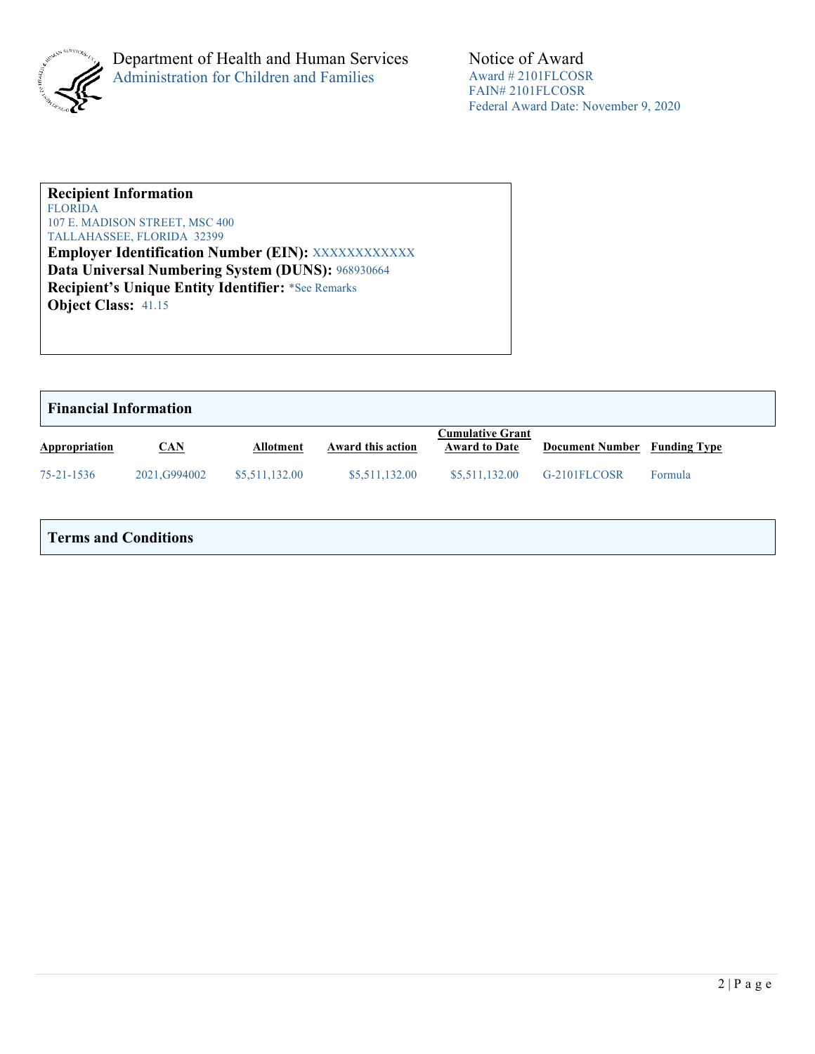

### **Recipient Information**  FLORIDA

107 E. MADISON STREET, MSC 400 TALLAHASSEE, FLORIDA 32399

**Employer Identification Number (EIN): XXXXXXXXXXXX Data Universal Numbering System (DUNS):** 968930664 **Recipient's Unique Entity Identifier:** \*See Remarks **Object Class:** 41.15

| <b>Financial Information</b> |               |                  |                   |                                                 |                                     |         |  |
|------------------------------|---------------|------------------|-------------------|-------------------------------------------------|-------------------------------------|---------|--|
| Appropriation                | CAN           | <b>Allotment</b> | Award this action | <b>Cumulative Grant</b><br><b>Award to Date</b> | <b>Document Number</b> Funding Type |         |  |
| $75 - 21 - 1536$             | 2021, G994002 | \$5,511,132.00   | \$5,511,132.00    | \$5,511,132.00                                  | G-2101FLCOSR                        | Formula |  |

# **Terms and Conditions**